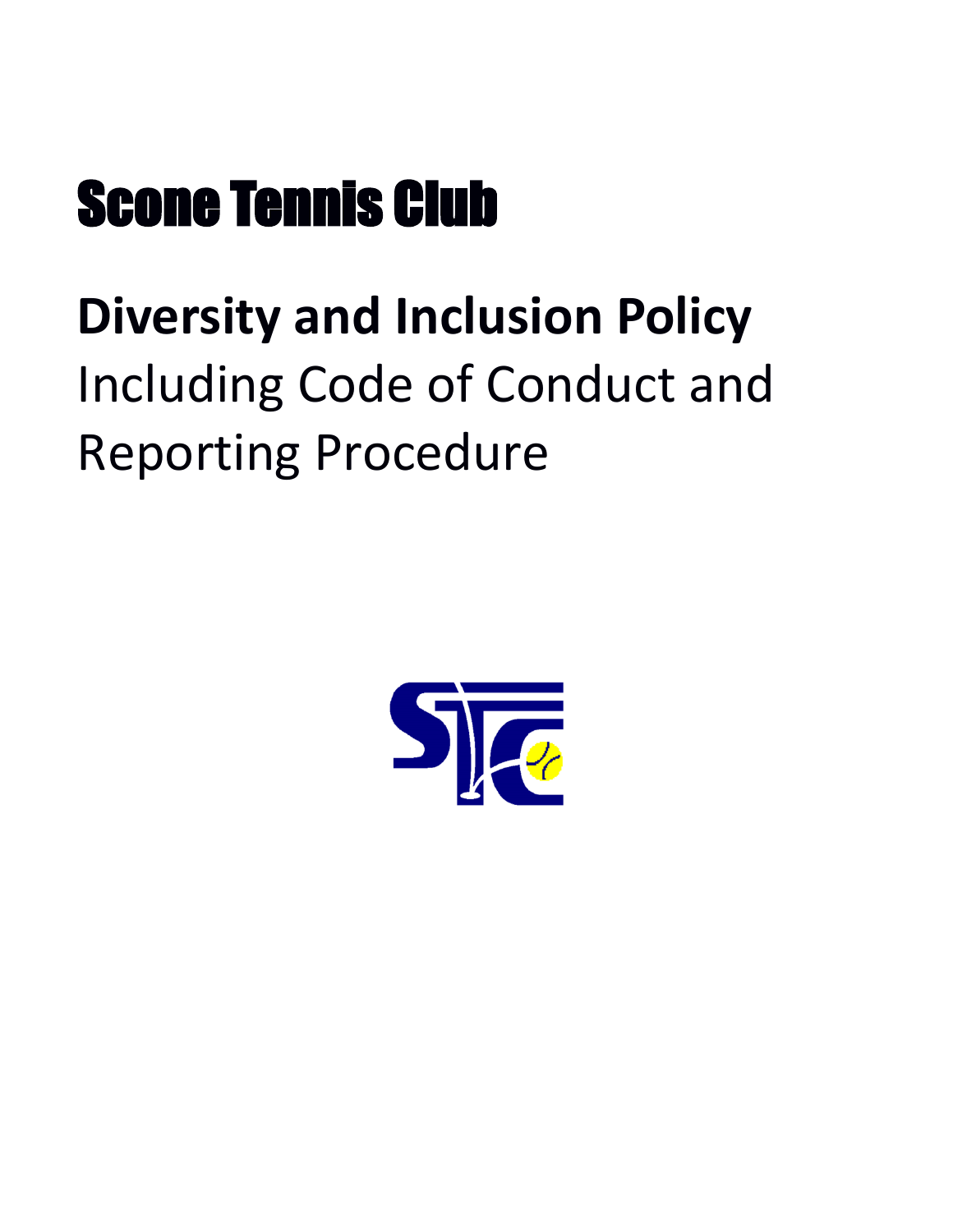# Scone Tennis Club

# <span id="page-0-0"></span>**Diversity and Inclusion Policy** Including Code of Conduct and Reporting Procedure

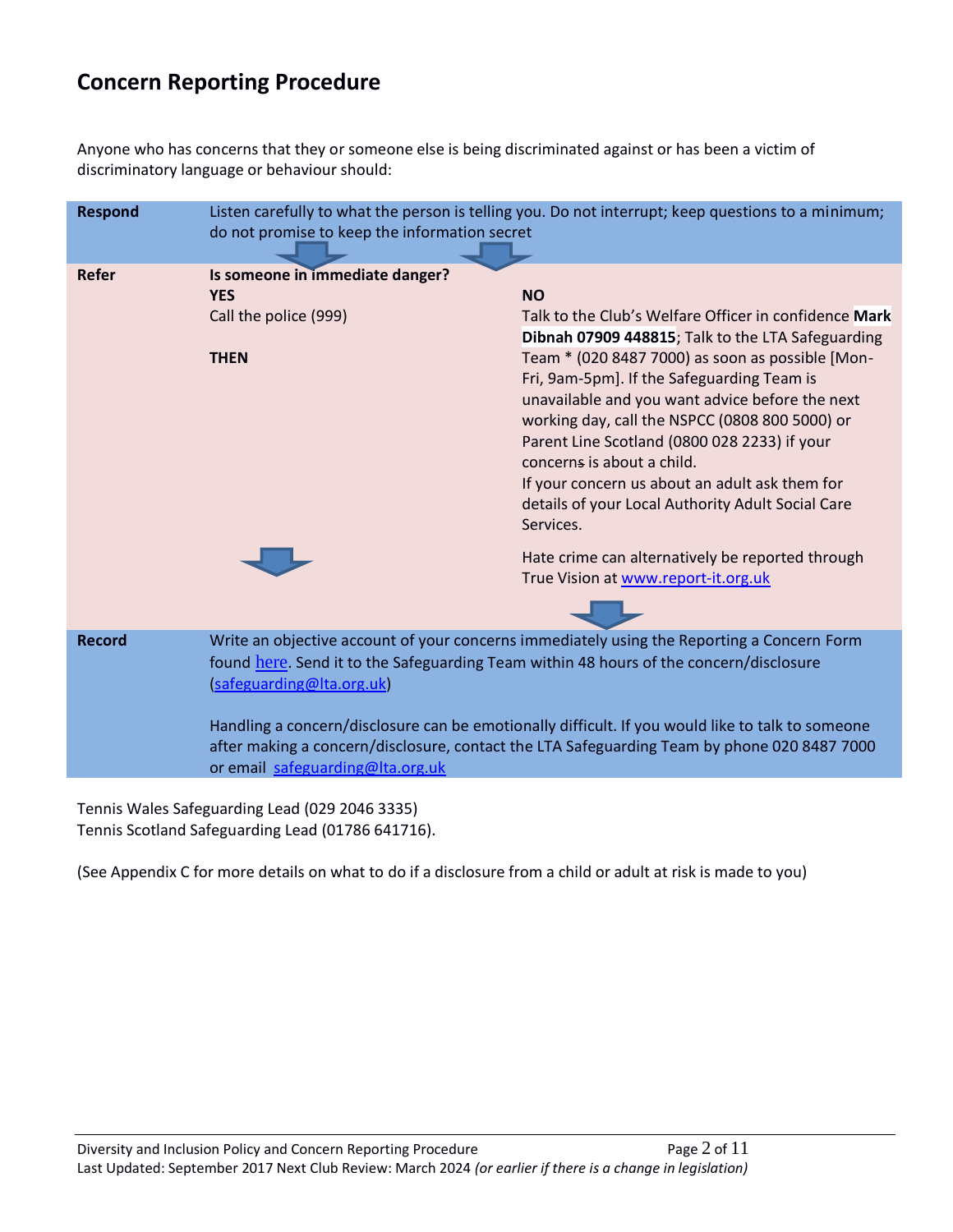## **Concern Reporting Procedure**

Anyone who has concerns that they or someone else is being discriminated against or has been a victim of discriminatory language or behaviour should:

| <b>Respond</b> | Listen carefully to what the person is telling you. Do not interrupt; keep questions to a minimum;<br>do not promise to keep the information secret |                                                                                                                                                                                                                                                                                                                                                                                                                                                                                                                     |
|----------------|-----------------------------------------------------------------------------------------------------------------------------------------------------|---------------------------------------------------------------------------------------------------------------------------------------------------------------------------------------------------------------------------------------------------------------------------------------------------------------------------------------------------------------------------------------------------------------------------------------------------------------------------------------------------------------------|
| Refer          | Is someone in immediate danger?<br><b>YES</b><br>Call the police (999)<br><b>THEN</b>                                                               | <b>NO</b><br>Talk to the Club's Welfare Officer in confidence Mark<br>Dibnah 07909 448815; Talk to the LTA Safeguarding<br>Team * (020 8487 7000) as soon as possible [Mon-<br>Fri, 9am-5pm]. If the Safeguarding Team is<br>unavailable and you want advice before the next<br>working day, call the NSPCC (0808 800 5000) or<br>Parent Line Scotland (0800 028 2233) if your<br>concerns is about a child.<br>If your concern us about an adult ask them for<br>details of your Local Authority Adult Social Care |
|                |                                                                                                                                                     | Services.<br>Hate crime can alternatively be reported through<br>True Vision at www.report-it.org.uk                                                                                                                                                                                                                                                                                                                                                                                                                |
| <b>Record</b>  | (safeguarding@Ita.org.uk)<br>or email safeguarding@Ita.org.uk                                                                                       | Write an objective account of your concerns immediately using the Reporting a Concern Form<br>found here. Send it to the Safeguarding Team within 48 hours of the concern/disclosure<br>Handling a concern/disclosure can be emotionally difficult. If you would like to talk to someone<br>after making a concern/disclosure, contact the LTA Safeguarding Team by phone 020 8487 7000                                                                                                                             |

Tennis Wales Safeguarding Lead (029 2046 3335) Tennis Scotland Safeguarding Lead (01786 641716).

(See Appendix C for more details on what to do if a disclosure from a child or adult at risk is made to you)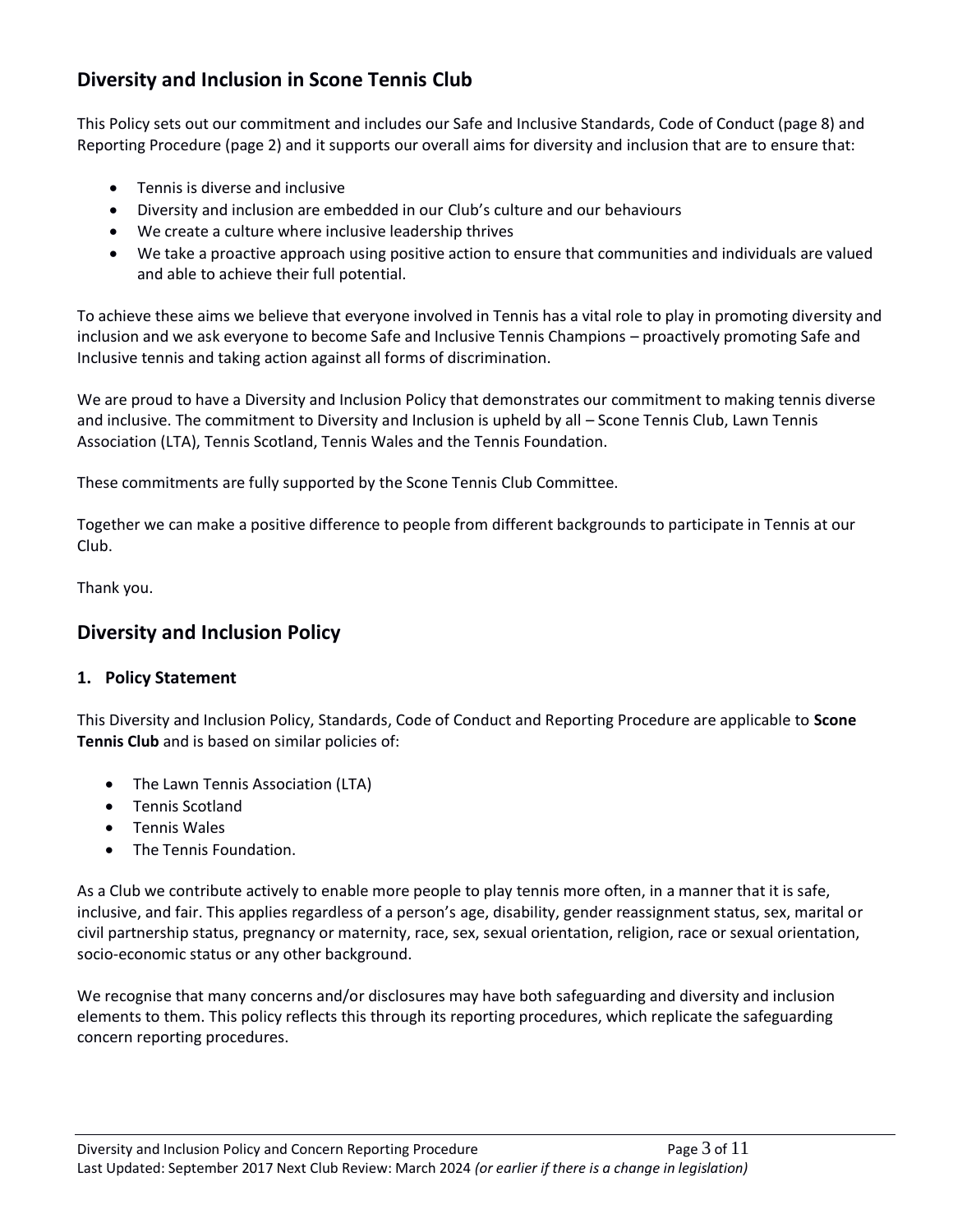### **Diversity and Inclusion in Scone Tennis Club**

This Policy sets out our commitment and includes our Safe and Inclusive Standards, Code of Conduct (page 8) and Reporting Procedure (page 2) and it supports our overall aims for diversity and inclusion that are to ensure that:

- Tennis is diverse and inclusive
- Diversity and inclusion are embedded in our Club's culture and our behaviours
- We create a culture where inclusive leadership thrives
- We take a proactive approach using positive action to ensure that communities and individuals are valued and able to achieve their full potential.

To achieve these aims we believe that everyone involved in Tennis has a vital role to play in promoting diversity and inclusion and we ask everyone to become Safe and Inclusive Tennis Champions – proactively promoting Safe and Inclusive tennis and taking action against all forms of discrimination.

We are proud to have a Diversity and Inclusion Policy that demonstrates our commitment to making tennis diverse and inclusive. The commitment to Diversity and Inclusion is upheld by all – Scone Tennis Club, Lawn Tennis Association (LTA), Tennis Scotland, Tennis Wales and the Tennis Foundation.

These commitments are fully supported by the Scone Tennis Club Committee.

Together we can make a positive difference to people from different backgrounds to participate in Tennis at our Club.

Thank you.

#### **Diversity and Inclusion Policy**

#### **1. Policy Statement**

This Diversity and Inclusion Policy, Standards, Code of Conduct and Reporting Procedure are applicable to **Scone Tennis Club** and is based on similar policies of:

- The Lawn Tennis Association (LTA)
- Tennis Scotland
- Tennis Wales
- The Tennis Foundation.

As a Club we contribute actively to enable more people to play tennis more often, in a manner that it is safe, inclusive, and fair. This applies regardless of a person's age, disability, gender reassignment status, sex, marital or civil partnership status, pregnancy or maternity, race, sex, sexual orientation, religion, race or sexual orientation, socio-economic status or any other background.

We recognise that many concerns and/or disclosures may have both safeguarding and diversity and inclusion elements to them. This policy reflects this through its reporting procedures, which replicate the safeguarding concern reporting procedures.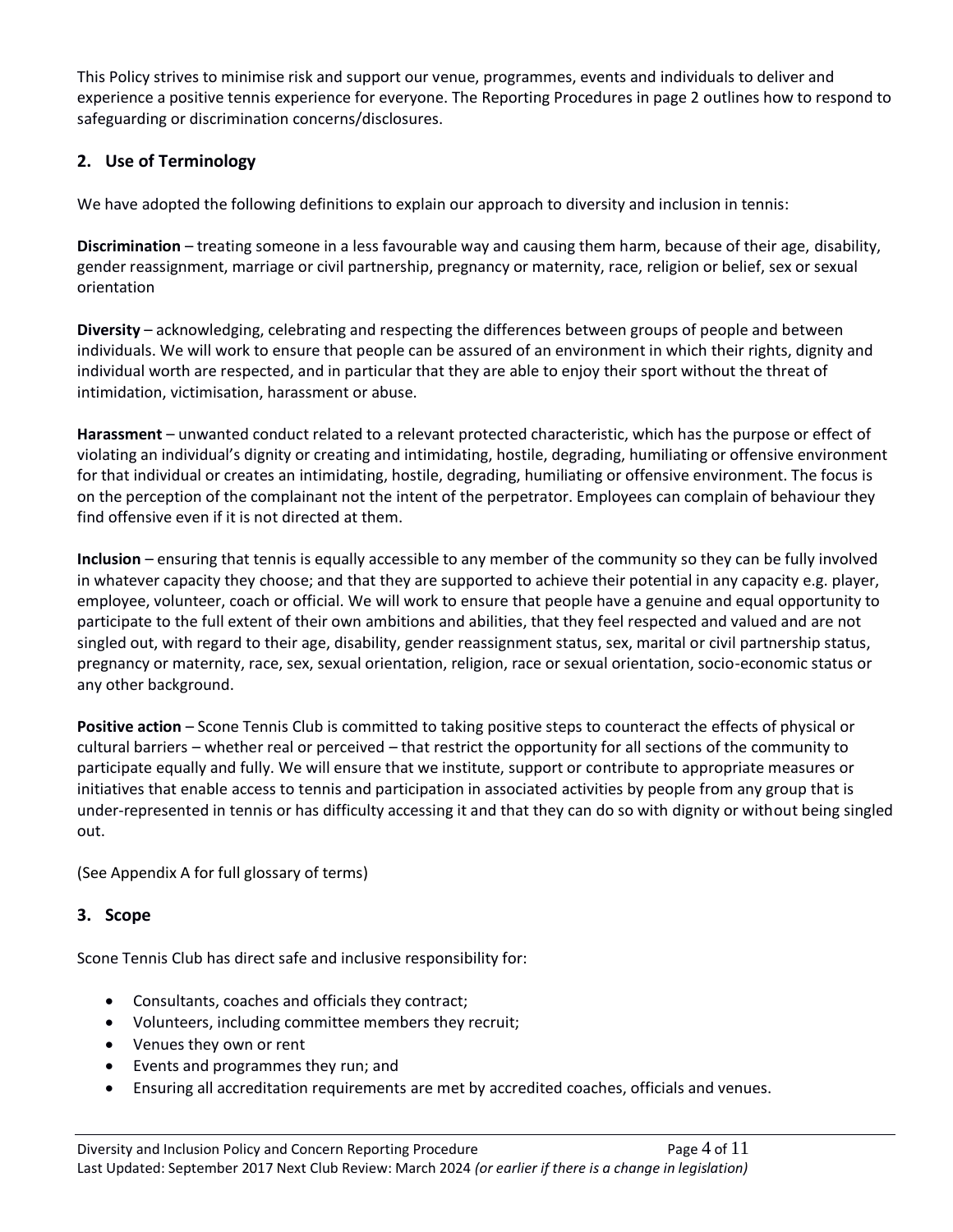This Policy strives to minimise risk and support our venue, programmes, events and individuals to deliver and experience a positive tennis experience for everyone. The Reporting Procedures in page 2 outlines how to respond to safeguarding or discrimination concerns/disclosures.

#### **2. Use of Terminology**

We have adopted the following definitions to explain our approach to diversity and inclusion in tennis:

**Discrimination** – treating someone in a less favourable way and causing them harm, because of their age, disability, gender reassignment, marriage or civil partnership, pregnancy or maternity, race, religion or belief, sex or sexual orientation

**Diversity** – acknowledging, celebrating and respecting the differences between groups of people and between individuals. We will work to ensure that people can be assured of an environment in which their rights, dignity and individual worth are respected, and in particular that they are able to enjoy their sport without the threat of intimidation, victimisation, harassment or abuse.

**Harassment** – unwanted conduct related to a relevant protected characteristic, which has the purpose or effect of violating an individual's dignity or creating and intimidating, hostile, degrading, humiliating or offensive environment for that individual or creates an intimidating, hostile, degrading, humiliating or offensive environment. The focus is on the perception of the complainant not the intent of the perpetrator. Employees can complain of behaviour they find offensive even if it is not directed at them.

**Inclusion** – ensuring that tennis is equally accessible to any member of the community so they can be fully involved in whatever capacity they choose; and that they are supported to achieve their potential in any capacity e.g. player, employee, volunteer, coach or official. We will work to ensure that people have a genuine and equal opportunity to participate to the full extent of their own ambitions and abilities, that they feel respected and valued and are not singled out, with regard to their age, disability, gender reassignment status, sex, marital or civil partnership status, pregnancy or maternity, race, sex, sexual orientation, religion, race or sexual orientation, socio-economic status or any other background.

**Positive action** – Scone Tennis Club is committed to taking positive steps to counteract the effects of physical or cultural barriers – whether real or perceived – that restrict the opportunity for all sections of the community to participate equally and fully. We will ensure that we institute, support or contribute to appropriate measures or initiatives that enable access to tennis and participation in associated activities by people from any group that is under-represented in tennis or has difficulty accessing it and that they can do so with dignity or without being singled out.

(See Appendix A for full glossary of terms)

#### **3. Scope**

Scone Tennis Club has direct safe and inclusive responsibility for:

- Consultants, coaches and officials they contract;
- Volunteers, including committee members they recruit;
- Venues they own or rent
- Events and programmes they run; and
- Ensuring all accreditation requirements are met by accredited coaches, officials and venues.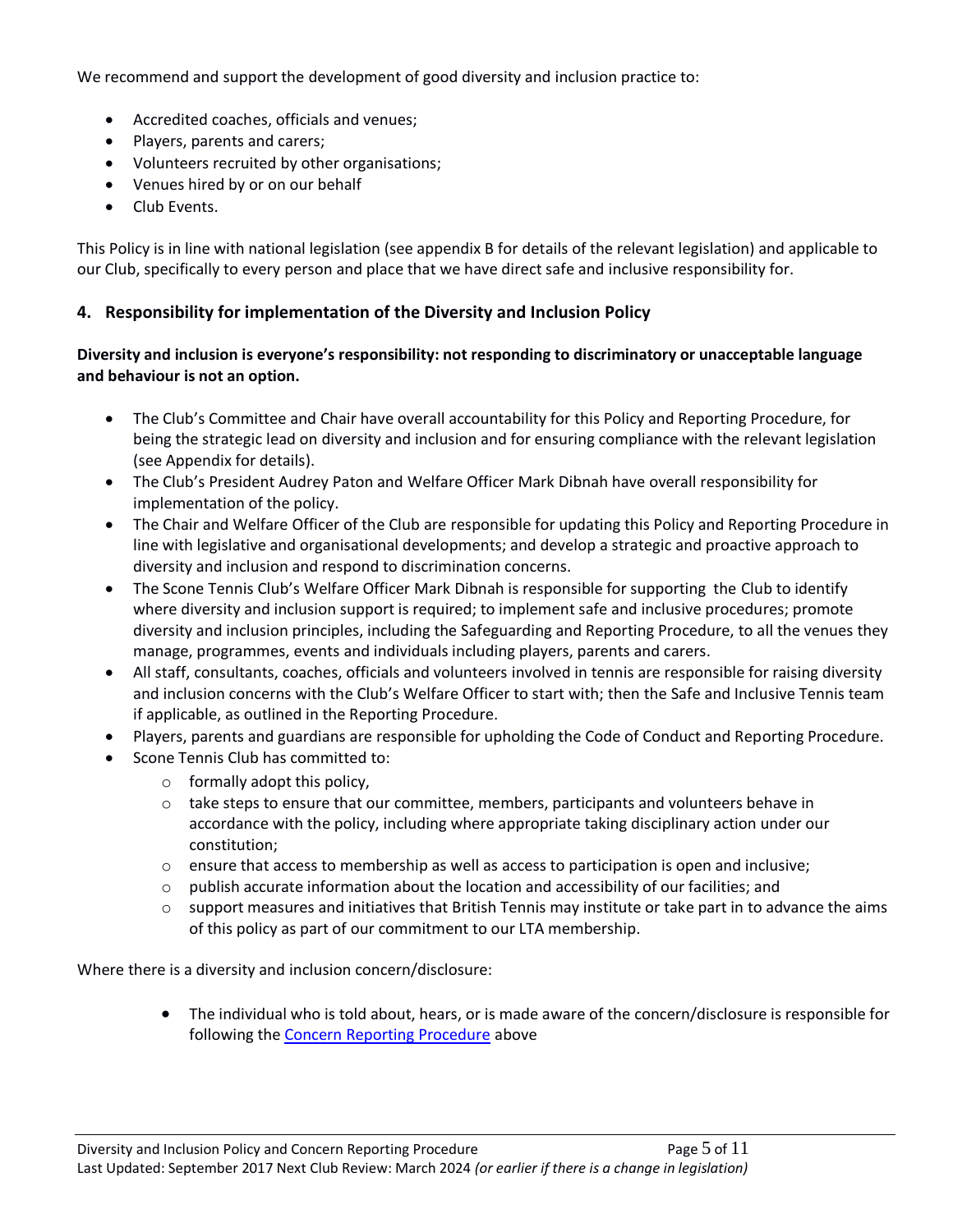We recommend and support the development of good diversity and inclusion practice to:

- Accredited coaches, officials and venues;
- Players, parents and carers;
- Volunteers recruited by other organisations;
- Venues hired by or on our behalf
- Club Events.

This Policy is in line with national legislation (see appendix B for details of the relevant legislation) and applicable to our Club, specifically to every person and place that we have direct safe and inclusive responsibility for.

#### **4. Responsibility for implementation of the Diversity and Inclusion Policy**

#### **Diversity and inclusion is everyone's responsibility: not responding to discriminatory or unacceptable language and behaviour is not an option.**

- The Club's Committee and Chair have overall accountability for this Policy and Reporting Procedure, for being the strategic lead on diversity and inclusion and for ensuring compliance with the relevant legislation (see Appendix for details).
- The Club's President Audrey Paton and Welfare Officer Mark Dibnah have overall responsibility for implementation of the policy.
- The Chair and Welfare Officer of the Club are responsible for updating this Policy and Reporting Procedure in line with legislative and organisational developments; and develop a strategic and proactive approach to diversity and inclusion and respond to discrimination concerns.
- The Scone Tennis Club's Welfare Officer Mark Dibnah is responsible for supporting the Club to identify where diversity and inclusion support is required; to implement safe and inclusive procedures; promote diversity and inclusion principles, including the Safeguarding and Reporting Procedure, to all the venues they manage, programmes, events and individuals including players, parents and carers.
- All staff, consultants, coaches, officials and volunteers involved in tennis are responsible for raising diversity and inclusion concerns with the Club's Welfare Officer to start with; then the Safe and Inclusive Tennis team if applicable, as outlined in the Reporting Procedure.
- Players, parents and guardians are responsible for upholding the Code of Conduct and Reporting Procedure.
- Scone Tennis Club has committed to:
	- $\circ$  formally adopt this policy,
	- $\circ$  take steps to ensure that our committee, members, participants and volunteers behave in accordance with the policy, including where appropriate taking disciplinary action under our constitution;
	- $\circ$  ensure that access to membership as well as access to participation is open and inclusive;
	- $\circ$  publish accurate information about the location and accessibility of our facilities; and
	- $\circ$  support measures and initiatives that British Tennis may institute or take part in to advance the aims of this policy as part of our commitment to our LTA membership.

Where there is a diversity and inclusion concern/disclosure:

• The individual who is told about, hears, or is made aware of the concern/disclosure is responsible for following the [Concern Reporting Procedure](#page-0-0) above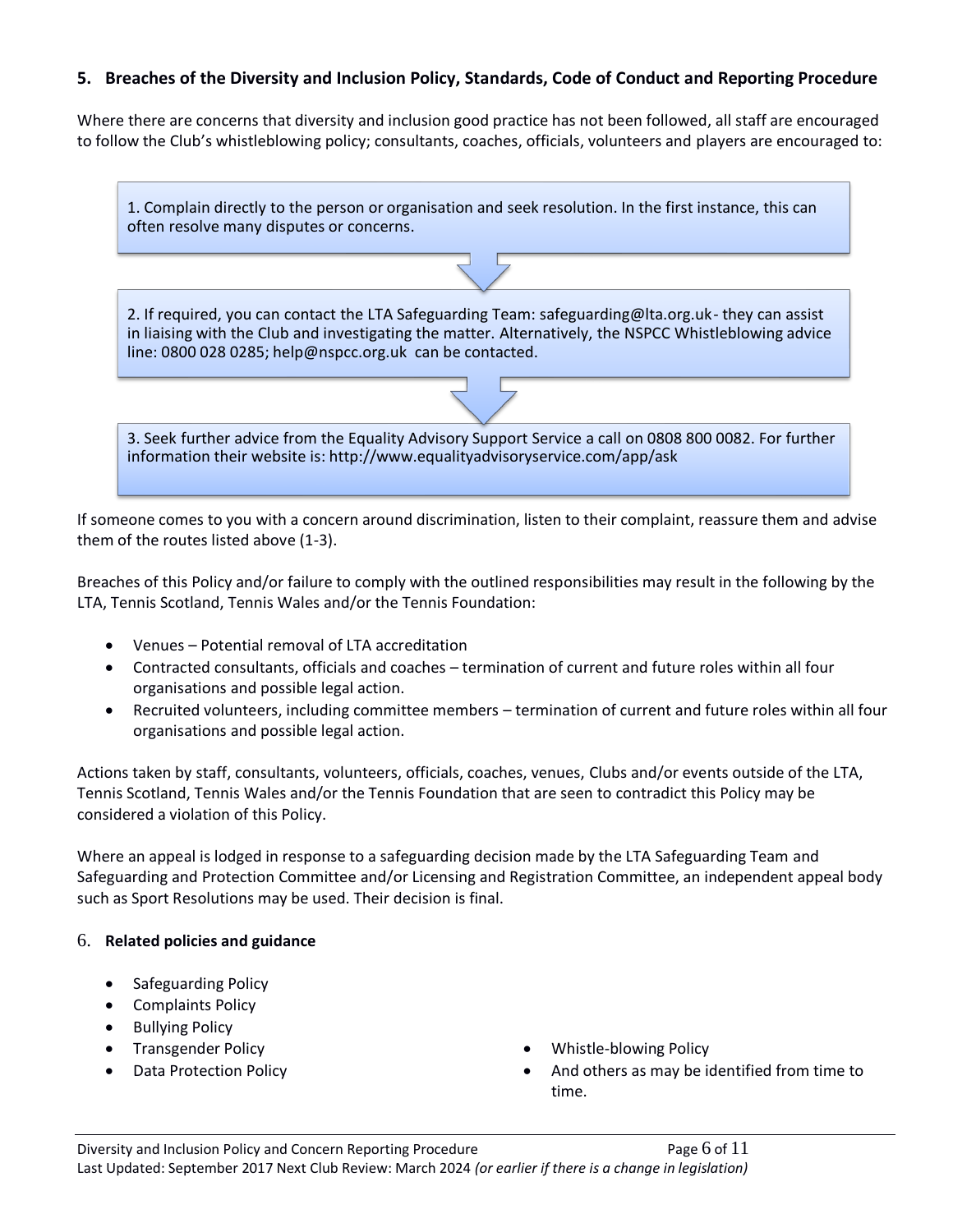#### **5. Breaches of the Diversity and Inclusion Policy, Standards, Code of Conduct and Reporting Procedure**

Where there are concerns that diversity and inclusion good practice has not been followed, all staff are encouraged to follow the Club's whistleblowing policy; consultants, coaches, officials, volunteers and players are encouraged to:

| 1. Complain directly to the person or organisation and seek resolution. In the first instance, this can<br>often resolve many disputes or concerns.                                                                                                                      |  |  |  |
|--------------------------------------------------------------------------------------------------------------------------------------------------------------------------------------------------------------------------------------------------------------------------|--|--|--|
|                                                                                                                                                                                                                                                                          |  |  |  |
| 2. If required, you can contact the LTA Safeguarding Team: safeguarding@lta.org.uk-they can assist<br>in liaising with the Club and investigating the matter. Alternatively, the NSPCC Whistleblowing advice<br>line: 0800 028 0285; help@nspcc.org.uk can be contacted. |  |  |  |
|                                                                                                                                                                                                                                                                          |  |  |  |
| 3. Seek further advice from the Equality Advisory Support Service a call on 0808 800 0082. For further<br>information their website is: http://www.equalityadvisoryservice.com/app/ask                                                                                   |  |  |  |

If someone comes to you with a concern around discrimination, listen to their complaint, reassure them and advise them of the routes listed above (1-3).

Breaches of this Policy and/or failure to comply with the outlined responsibilities may result in the following by the LTA, Tennis Scotland, Tennis Wales and/or the Tennis Foundation:

- Venues Potential removal of LTA accreditation
- Contracted consultants, officials and coaches termination of current and future roles within all four organisations and possible legal action.
- Recruited volunteers, including committee members termination of current and future roles within all four organisations and possible legal action.

Actions taken by staff, consultants, volunteers, officials, coaches, venues, Clubs and/or events outside of the LTA, Tennis Scotland, Tennis Wales and/or the Tennis Foundation that are seen to contradict this Policy may be considered a violation of this Policy.

Where an appeal is lodged in response to a safeguarding decision made by the LTA Safeguarding Team and Safeguarding and Protection Committee and/or Licensing and Registration Committee, an independent appeal body such as Sport Resolutions may be used. Their decision is final.

#### 6. **Related policies and guidance**

- Safeguarding Policy
- Complaints Policy
- Bullying Policy
- 
- 
- Transgender Policy  **Whistle-blowing Policy**
- Data Protection Policy  **And others as may be identified from time to** time.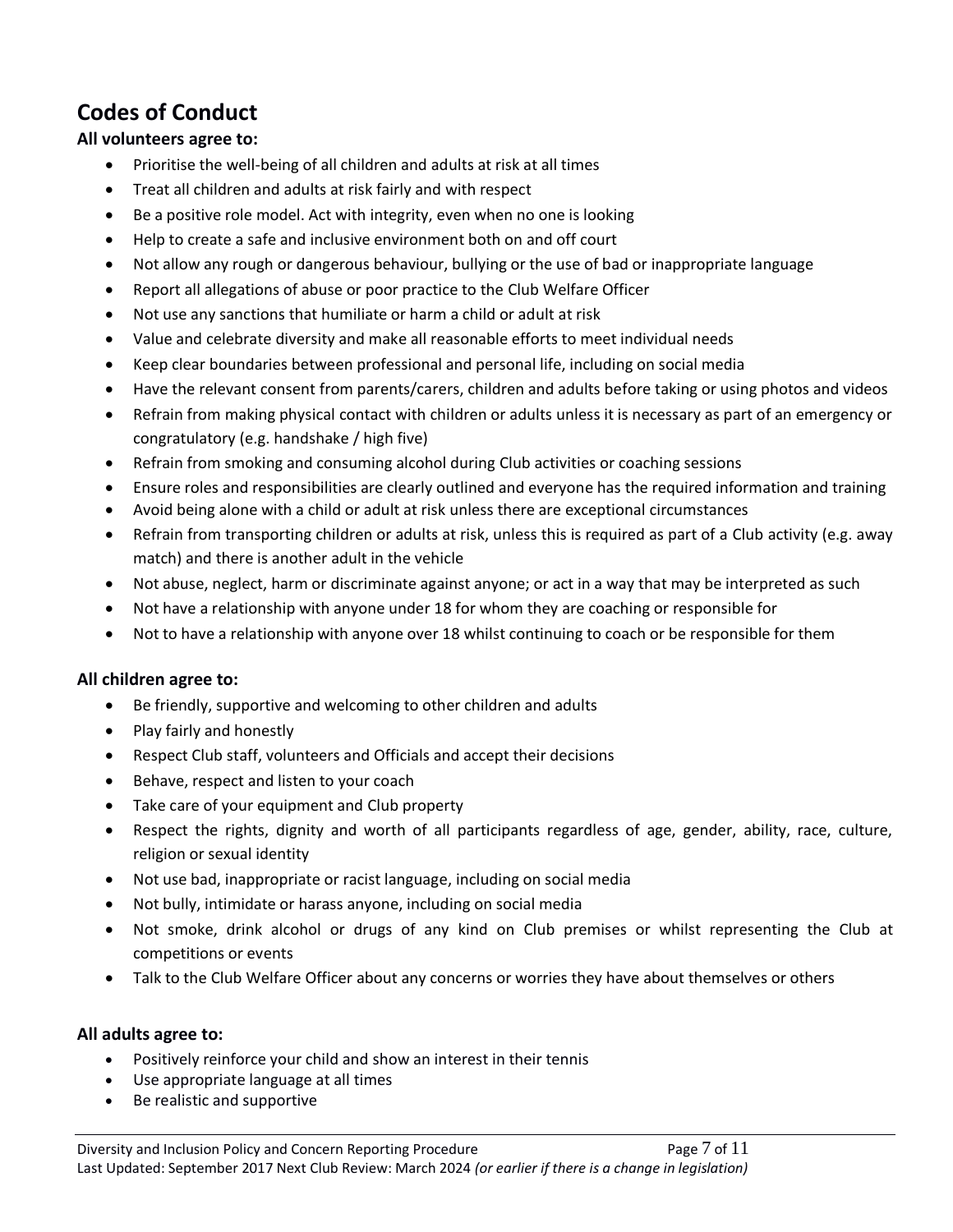# **Codes of Conduct**

#### **All volunteers agree to:**

- Prioritise the well-being of all children and adults at risk at all times
- Treat all children and adults at risk fairly and with respect
- Be a positive role model. Act with integrity, even when no one is looking
- Help to create a safe and inclusive environment both on and off court
- Not allow any rough or dangerous behaviour, bullying or the use of bad or inappropriate language
- Report all allegations of abuse or poor practice to the Club Welfare Officer
- Not use any sanctions that humiliate or harm a child or adult at risk
- Value and celebrate diversity and make all reasonable efforts to meet individual needs
- Keep clear boundaries between professional and personal life, including on social media
- Have the relevant consent from parents/carers, children and adults before taking or using photos and videos
- Refrain from making physical contact with children or adults unless it is necessary as part of an emergency or congratulatory (e.g. handshake / high five)
- Refrain from smoking and consuming alcohol during Club activities or coaching sessions
- Ensure roles and responsibilities are clearly outlined and everyone has the required information and training
- Avoid being alone with a child or adult at risk unless there are exceptional circumstances
- Refrain from transporting children or adults at risk, unless this is required as part of a Club activity (e.g. away match) and there is another adult in the vehicle
- Not abuse, neglect, harm or discriminate against anyone; or act in a way that may be interpreted as such
- Not have a relationship with anyone under 18 for whom they are coaching or responsible for
- Not to have a relationship with anyone over 18 whilst continuing to coach or be responsible for them

#### **All children agree to:**

- Be friendly, supportive and welcoming to other children and adults
- Play fairly and honestly
- Respect Club staff, volunteers and Officials and accept their decisions
- Behave, respect and listen to your coach
- Take care of your equipment and Club property
- Respect the rights, dignity and worth of all participants regardless of age, gender, ability, race, culture, religion or sexual identity
- Not use bad, inappropriate or racist language, including on social media
- Not bully, intimidate or harass anyone, including on social media
- Not smoke, drink alcohol or drugs of any kind on Club premises or whilst representing the Club at competitions or events
- Talk to the Club Welfare Officer about any concerns or worries they have about themselves or others

#### **All adults agree to:**

- Positively reinforce your child and show an interest in their tennis
- Use appropriate language at all times
- Be realistic and supportive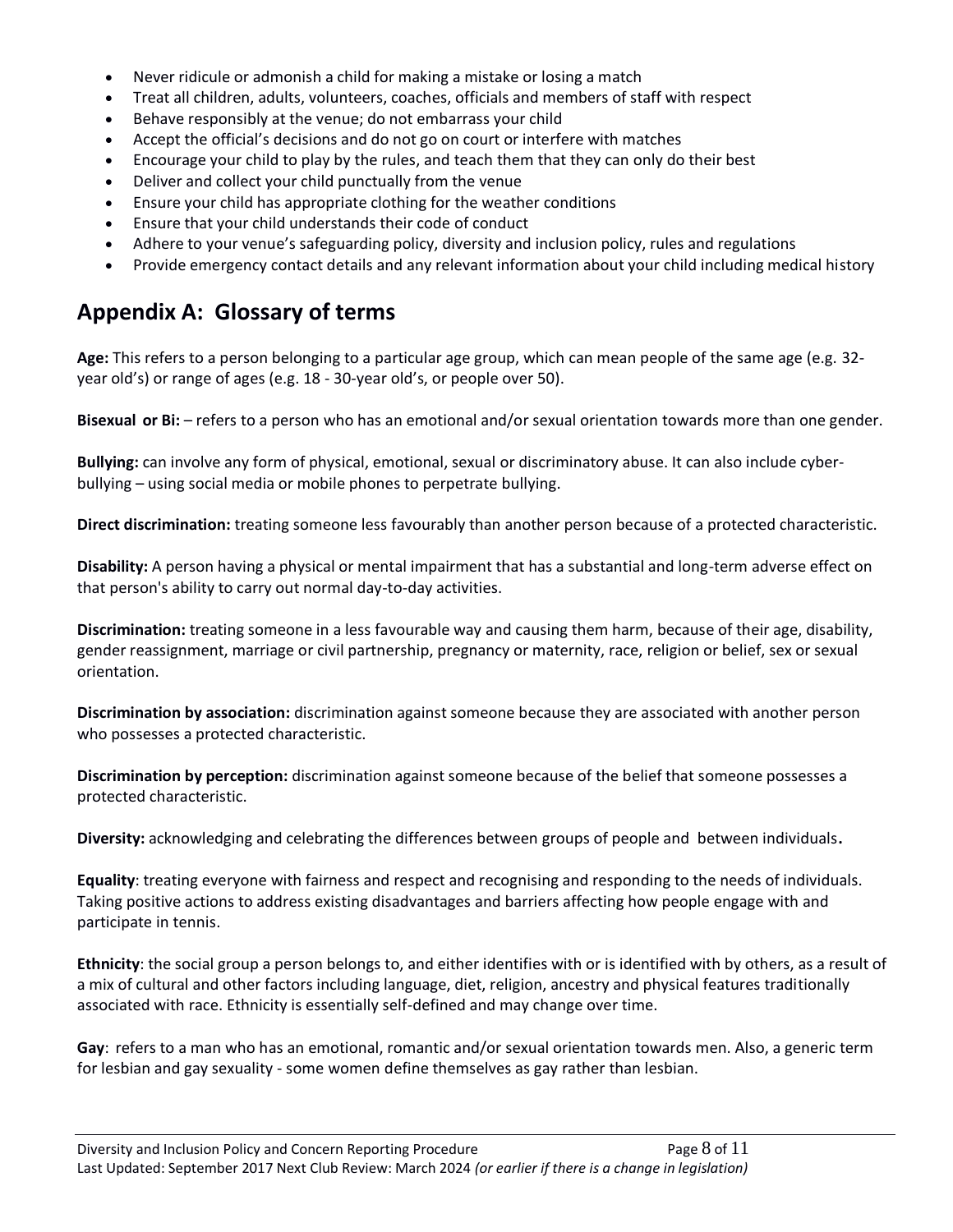- Never ridicule or admonish a child for making a mistake or losing a match
- Treat all children, adults, volunteers, coaches, officials and members of staff with respect
- Behave responsibly at the venue; do not embarrass your child
- Accept the official's decisions and do not go on court or interfere with matches
- Encourage your child to play by the rules, and teach them that they can only do their best
- Deliver and collect your child punctually from the venue
- Ensure your child has appropriate clothing for the weather conditions
- Ensure that your child understands their code of conduct
- Adhere to your venue's safeguarding policy, diversity and inclusion policy, rules and regulations
- Provide emergency contact details and any relevant information about your child including medical history

### **Appendix A: Glossary of terms**

**Age:** This refers to a person belonging to a particular age group, which can mean people of the same age (e.g. 32 year old's) or range of ages (e.g. 18 - 30-year old's, or people over 50).

**Bisexual or Bi:** – refers to a person who has an emotional and/or sexual orientation towards more than one gender.

**Bullying:** can involve any form of physical, emotional, sexual or discriminatory abuse. It can also include cyberbullying – using social media or mobile phones to perpetrate bullying.

**Direct discrimination:** treating someone less favourably than another person because of a protected characteristic.

**Disability:** A person having a physical or mental impairment that has a substantial and long-term adverse effect on that person's ability to carry out normal day-to-day activities.

**Discrimination:** treating someone in a less favourable way and causing them harm, because of their age, disability, gender reassignment, marriage or civil partnership, pregnancy or maternity, race, religion or belief, sex or sexual orientation.

**Discrimination by association:** discrimination against someone because they are associated with another person who possesses a protected characteristic.

**Discrimination by perception:** discrimination against someone because of the belief that someone possesses a protected characteristic.

**Diversity:** acknowledging and celebrating the differences between groups of people and between individuals**.**

**Equality**: treating everyone with fairness and respect and recognising and responding to the needs of individuals. Taking positive actions to address existing disadvantages and barriers affecting how people engage with and participate in tennis.

**Ethnicity**: the social group a person belongs to, and either identifies with or is identified with by others, as a result of a mix of cultural and other factors including language, diet, religion, ancestry and physical features traditionally associated with race. Ethnicity is essentially self-defined and may change over time.

**Gay**: refers to a man who has an emotional, romantic and/or sexual orientation towards men. Also, a generic term for lesbian and gay sexuality - some women define themselves as gay rather than lesbian.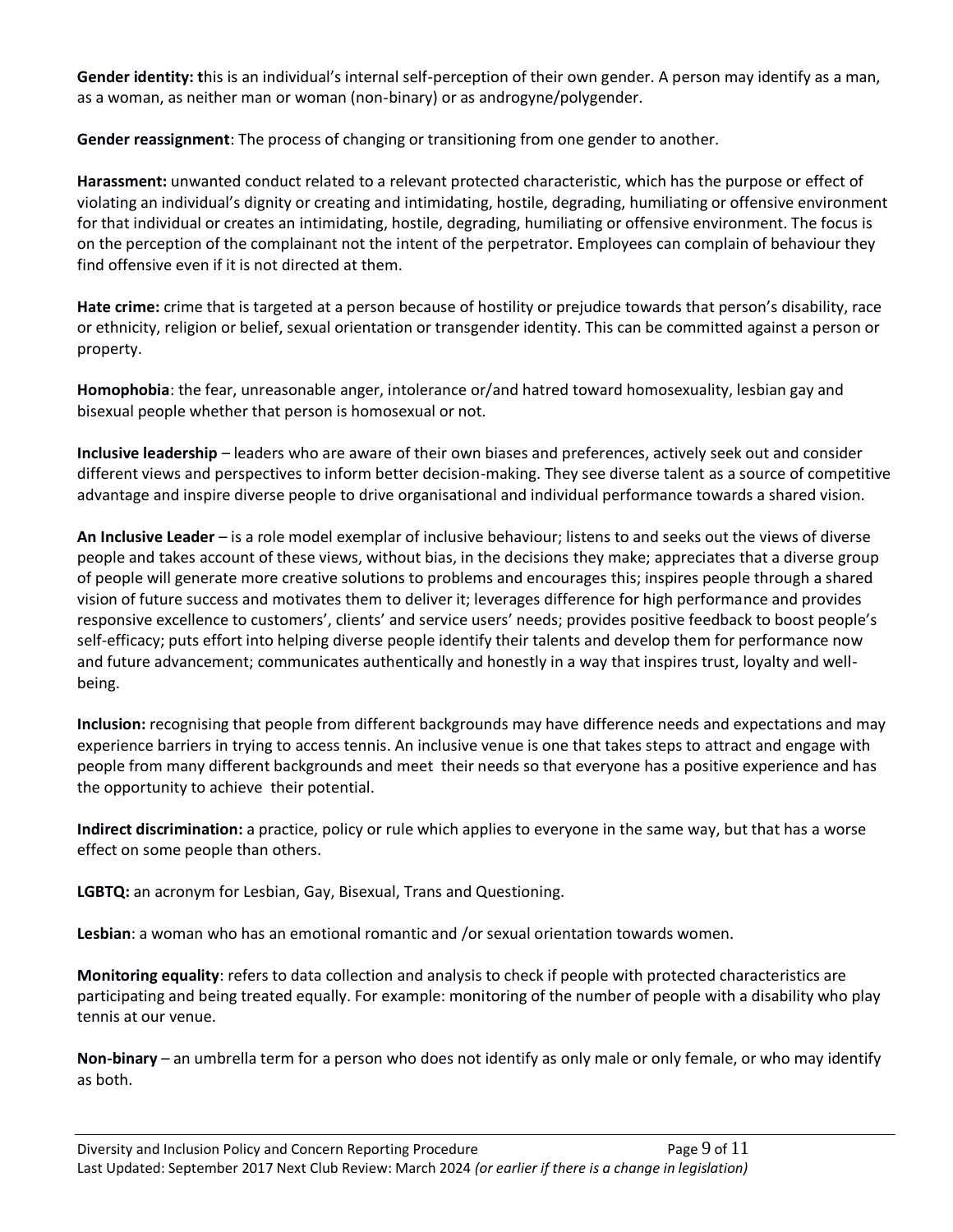**Gender identity: t**his is an individual's internal self-perception of their own gender. A person may identify as a man, as a woman, as neither man or woman (non-binary) or as androgyne/polygender.

**Gender reassignment**: The process of changing or transitioning from one gender to another.

**Harassment:** unwanted conduct related to a relevant protected characteristic, which has the purpose or effect of violating an individual's dignity or creating and intimidating, hostile, degrading, humiliating or offensive environment for that individual or creates an intimidating, hostile, degrading, humiliating or offensive environment. The focus is on the perception of the complainant not the intent of the perpetrator. Employees can complain of behaviour they find offensive even if it is not directed at them.

**Hate crime:** crime that is targeted at a person because of hostility or prejudice towards that person's disability, race or ethnicity, religion or belief, sexual orientation or transgender identity. This can be committed against a person or property.

**Homophobia**: the fear, unreasonable anger, intolerance or/and hatred toward homosexuality, lesbian gay and bisexual people whether that person is homosexual or not.

**Inclusive leadership** – leaders who are aware of their own biases and preferences, actively seek out and consider different views and perspectives to inform better decision-making. They see diverse talent as a source of competitive advantage and inspire diverse people to drive organisational and individual performance towards a shared vision.

**An Inclusive Leader** – is a role model exemplar of inclusive behaviour; listens to and seeks out the views of diverse people and takes account of these views, without bias, in the decisions they make; appreciates that a diverse group of people will generate more creative solutions to problems and encourages this; inspires people through a shared vision of future success and motivates them to deliver it; leverages difference for high performance and provides responsive excellence to customers', clients' and service users' needs; provides positive feedback to boost people's self-efficacy; puts effort into helping diverse people identify their talents and develop them for performance now and future advancement; communicates authentically and honestly in a way that inspires trust, loyalty and wellbeing.

**Inclusion:** recognising that people from different backgrounds may have difference needs and expectations and may experience barriers in trying to access tennis. An inclusive venue is one that takes steps to attract and engage with people from many different backgrounds and meet their needs so that everyone has a positive experience and has the opportunity to achieve their potential.

**Indirect discrimination:** a practice, policy or rule which applies to everyone in the same way, but that has a worse effect on some people than others.

**LGBTQ:** an acronym for Lesbian, Gay, Bisexual, Trans and Questioning.

**Lesbian**: a woman who has an emotional romantic and /or sexual orientation towards women.

**Monitoring equality**: refers to data collection and analysis to check if people with protected characteristics are participating and being treated equally. For example: monitoring of the number of people with a disability who play tennis at our venue.

**Non-binary** – an umbrella term for a person who does not identify as only male or only female, or who may identify as both.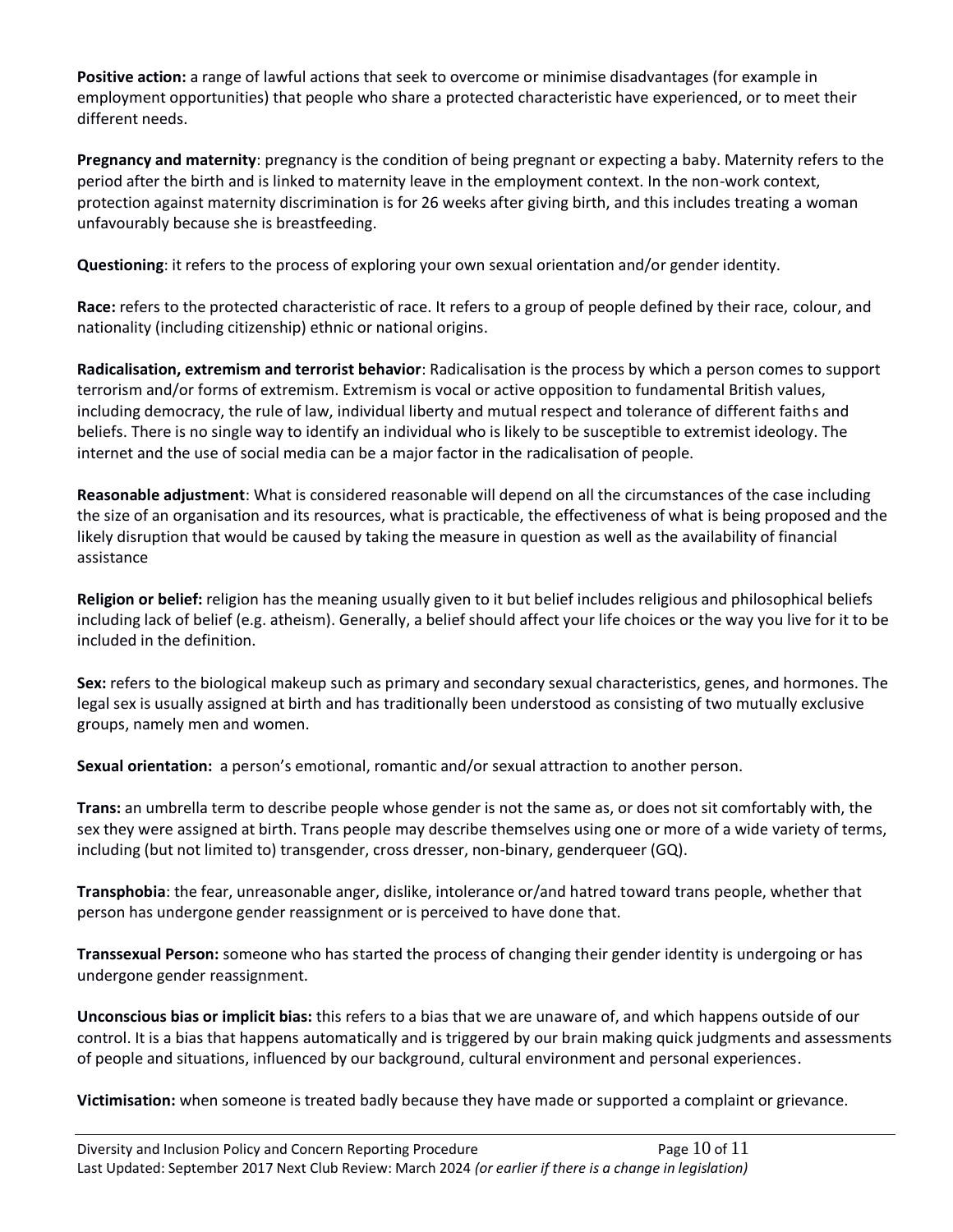**Positive action:** a range of lawful actions that seek to overcome or minimise disadvantages (for example in employment opportunities) that people who share a protected characteristic have experienced, or to meet their different needs.

**Pregnancy and maternity**: pregnancy is the condition of being pregnant or expecting a baby. Maternity refers to the period after the birth and is linked to maternity leave in the employment context. In the non-work context, protection against maternity discrimination is for 26 weeks after giving birth, and this includes treating a woman unfavourably because she is breastfeeding.

**Questioning**: it refers to the process of exploring your own sexual orientation and/or gender identity.

**Race:** refers to the protected characteristic of race. It refers to a group of people defined by their race, colour, and nationality (including citizenship) ethnic or national origins.

**Radicalisation, extremism and terrorist behavior**: Radicalisation is the process by which a person comes to support terrorism and/or forms of extremism. Extremism is vocal or active opposition to fundamental British values, including democracy, the rule of law, individual liberty and mutual respect and tolerance of different faiths and beliefs. There is no single way to identify an individual who is likely to be susceptible to extremist ideology. The internet and the use of social media can be a major factor in the radicalisation of people.

**Reasonable adjustment**: What is considered reasonable will depend on all the circumstances of the case including the size of an organisation and its resources, what is practicable, the effectiveness of what is being proposed and the likely disruption that would be caused by taking the measure in question as well as the availability of financial assistance

**Religion or belief:** religion has the meaning usually given to it but belief includes religious and philosophical beliefs including lack of belief (e.g. atheism). Generally, a belief should affect your life choices or the way you live for it to be included in the definition.

**Sex:** refers to the biological makeup such as primary and secondary sexual characteristics, genes, and hormones. The legal sex is usually assigned at birth and has traditionally been understood as consisting of two mutually exclusive groups, namely men and women.

**Sexual orientation:** a person's emotional, romantic and/or sexual attraction to another person.

**Trans:** an umbrella term to describe people whose gender is not the same as, or does not sit comfortably with, the sex they were assigned at birth. Trans people may describe themselves using one or more of a wide variety of terms, including (but not limited to) transgender, cross dresser, non-binary, genderqueer (GQ).

**Transphobia**: the fear, unreasonable anger, dislike, intolerance or/and hatred toward trans people, whether that person has undergone gender reassignment or is perceived to have done that.

**Transsexual Person:** someone who has started the process of changing their gender identity is undergoing or has undergone gender reassignment.

**Unconscious bias or implicit bias:** this refers to a bias that we are unaware of, and which happens outside of our control. It is a bias that happens automatically and is triggered by our brain making quick judgments and assessments of people and situations, influenced by our background, cultural environment and personal experiences.

**Victimisation:** when someone is treated badly because they have made or supported a complaint or grievance.